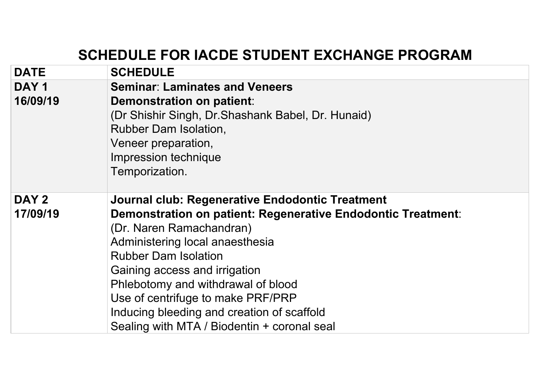## **SCHEDULE FOR IACDE STUDENT EXCHANGE PROGRAM**

| <b>DATE</b>      | <b>SCHEDULE</b>                                              |
|------------------|--------------------------------------------------------------|
| DAY <sub>1</sub> | <b>Seminar: Laminates and Veneers</b>                        |
| 16/09/19         | Demonstration on patient:                                    |
|                  | (Dr Shishir Singh, Dr. Shashank Babel, Dr. Hunaid)           |
|                  | <b>Rubber Dam Isolation,</b>                                 |
|                  | Veneer preparation,                                          |
|                  | Impression technique                                         |
|                  | Temporization.                                               |
| DAY 2            | Journal club: Regenerative Endodontic Treatment              |
| 17/09/19         | Demonstration on patient: Regenerative Endodontic Treatment: |
|                  | (Dr. Naren Ramachandran)                                     |
|                  | Administering local anaesthesia                              |
|                  | <b>Rubber Dam Isolation</b>                                  |
|                  | Gaining access and irrigation                                |
|                  | Phlebotomy and withdrawal of blood                           |
|                  | Use of centrifuge to make PRF/PRP                            |
|                  | Inducing bleeding and creation of scaffold                   |
|                  | Sealing with MTA / Biodentin + coronal seal                  |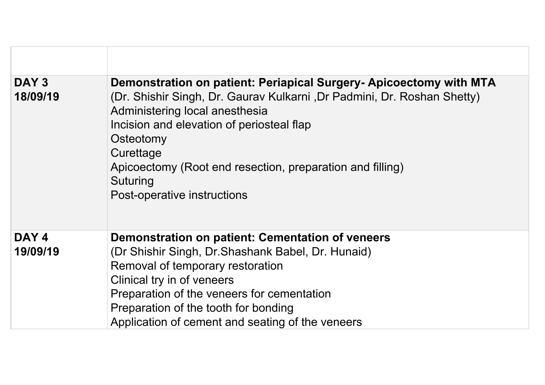| DAY 3<br>18/09/19 | Demonstration on patient: Periapical Surgery- Apicoectomy with MTA<br>(Dr. Shishir Singh, Dr. Gaurav Kulkarni, Dr Padmini, Dr. Roshan Shetty)<br>Administering local anesthesia<br>Incision and elevation of periosteal flap<br>Osteotomy<br>Curettage<br>Apicoectomy (Root end resection, preparation and filling)<br>Suturing<br>Post-operative instructions |
|-------------------|----------------------------------------------------------------------------------------------------------------------------------------------------------------------------------------------------------------------------------------------------------------------------------------------------------------------------------------------------------------|
| DAY 4             | Demonstration on patient: Cementation of veneers                                                                                                                                                                                                                                                                                                               |
| 19/09/19          | (Dr Shishir Singh, Dr. Shashank Babel, Dr. Hunaid)                                                                                                                                                                                                                                                                                                             |
|                   | Removal of temporary restoration                                                                                                                                                                                                                                                                                                                               |
|                   | Clinical try in of veneers                                                                                                                                                                                                                                                                                                                                     |
|                   | Preparation of the veneers for cementation                                                                                                                                                                                                                                                                                                                     |
|                   | Preparation of the tooth for bonding                                                                                                                                                                                                                                                                                                                           |
|                   | Application of cement and seating of the veneers                                                                                                                                                                                                                                                                                                               |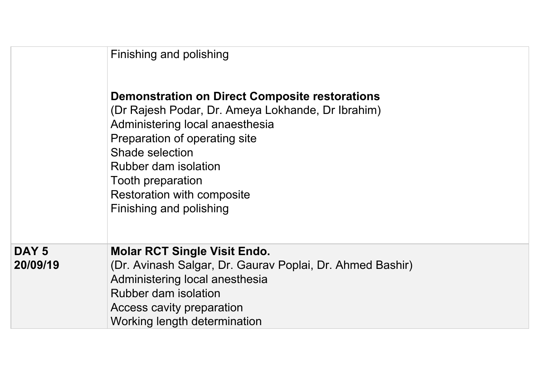|                              | Finishing and polishing<br><b>Demonstration on Direct Composite restorations</b><br>(Dr Rajesh Podar, Dr. Ameya Lokhande, Dr Ibrahim)<br>Administering local anaesthesia<br>Preparation of operating site<br>Shade selection<br>Rubber dam isolation<br>Tooth preparation<br>Restoration with composite<br>Finishing and polishing |
|------------------------------|------------------------------------------------------------------------------------------------------------------------------------------------------------------------------------------------------------------------------------------------------------------------------------------------------------------------------------|
| DAY <sub>5</sub><br>20/09/19 | <b>Molar RCT Single Visit Endo.</b><br>(Dr. Avinash Salgar, Dr. Gaurav Poplai, Dr. Ahmed Bashir)<br>Administering local anesthesia<br>Rubber dam isolation<br>Access cavity preparation<br>Working length determination                                                                                                            |